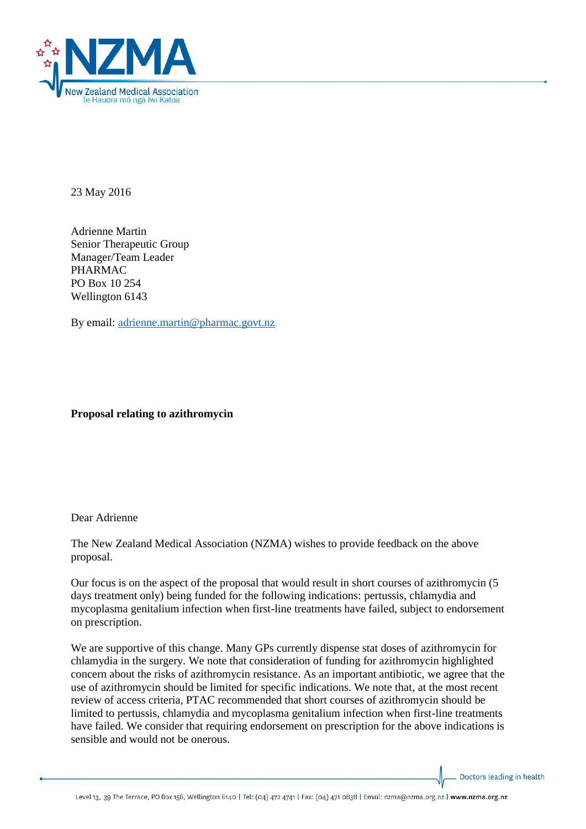

23 May 2016

Adrienne Martin Senior Therapeutic Group Manager/Team Leader PHARMAC PO Box 10 254 Wellington 6143

By email: [adrienne.martin@pharmac.govt.nz](mailto:adrienne.martin@pharmac.govt.nz)

**Proposal relating to azithromycin**

## Dear Adrienne

The New Zealand Medical Association (NZMA) wishes to provide feedback on the above proposal.

Our focus is on the aspect of the proposal that would result in short courses of azithromycin (5 days treatment only) being funded for the following indications: pertussis, chlamydia and mycoplasma genitalium infection when first-line treatments have failed, subject to endorsement on prescription.

We are supportive of this change. Many GPs currently dispense stat doses of azithromycin for chlamydia in the surgery. We note that consideration of funding for azithromycin highlighted concern about the risks of azithromycin resistance. As an important antibiotic, we agree that the use of azithromycin should be limited for specific indications. We note that, at the most recent review of access criteria, PTAC recommended that short courses of azithromycin should be limited to pertussis, chlamydia and mycoplasma genitalium infection when first-line treatments have failed. We consider that requiring endorsement on prescription for the above indications is sensible and would not be onerous.

Doctors leading in health